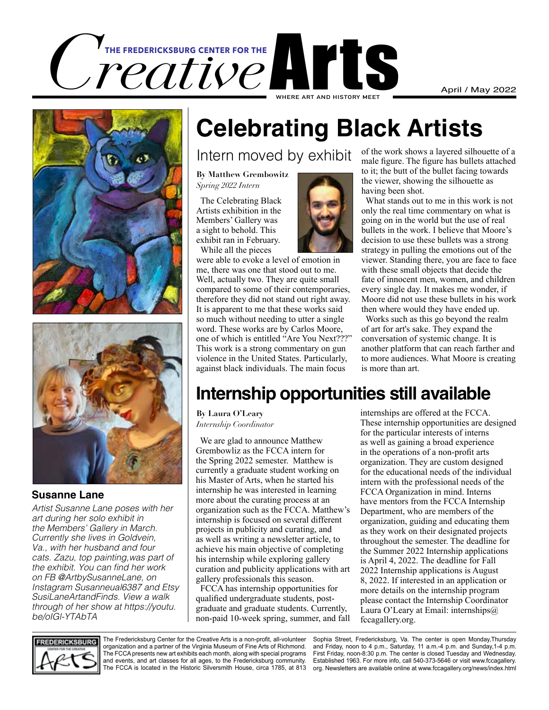





#### **Susanne Lane**

*Artist Susanne Lane poses with her art during her solo exhibit in the Members' Gallery in March. Currently she lives in Goldvein, Va., with her husband and four cats. Zazu, top painting,was part of*  the exhibit. You can find her work *on FB @ArtbySusanneLane, on Instagram Susanneual6387 and Etsy*  SusiLaneArtandFinds. View a walk *through of her show at https://youtu. be/oIGl-YTAbTA*

## **Celebrating Black Artists**

#### Intern moved by exhibit

**By Matthew Grembowitz**  *Spring 2022 Intern*

 The Celebrating Black Artists exhibition in the Members' Gallery was a sight to behold. This exhibit ran in February.

While all the pieces



were able to evoke a level of emotion in me, there was one that stood out to me. Well, actually two. They are quite small compared to some of their contemporaries, therefore they did not stand out right away. It is apparent to me that these works said so much without needing to utter a single word. These works are by Carlos Moore, one of which is entitled "Are You Next???" This work is a strong commentary on gun violence in the United States. Particularly, against black individuals. The main focus

of the work shows a layered silhouette of a male figure. The figure has bullets attached to it; the butt of the bullet facing towards the viewer, showing the silhouette as having been shot.

 What stands out to me in this work is not only the real time commentary on what is going on in the world but the use of real bullets in the work. I believe that Moore's decision to use these bullets was a strong strategy in pulling the emotions out of the viewer. Standing there, you are face to face with these small objects that decide the fate of innocent men, women, and children every single day. It makes me wonder, if Moore did not use these bullets in his work then where would they have ended up.

 Works such as this go beyond the realm of art for art's sake. They expand the conversation of systemic change. It is another platform that can reach farther and to more audiences. What Moore is creating is more than art.

## **Internship opportunities still available**

**By Laura O'Leary** *Internship Coordinator*

 We are glad to announce Matthew Grembowliz as the FCCA intern for the Spring 2022 semester. Matthew is currently a graduate student working on his Master of Arts, when he started his internship he was interested in learning more about the curating process at an organization such as the FCCA. Matthew's internship is focused on several different projects in publicity and curating, and as well as writing a newsletter article, to achieve his main objective of completing his internship while exploring gallery curation and publicity applications with art gallery professionals this season.

 FCCA has internship opportunities for qualified undergraduate students, postgraduate and graduate students. Currently, non-paid 10-week spring, summer, and fall

internships are offered at the FCCA. These internship opportunities are designed for the particular interests of interns as well as gaining a broad experience in the operations of a non-profit arts organization. They are custom designed for the educational needs of the individual intern with the professional needs of the FCCA Organization in mind. Interns have mentors from the FCCA Internship Department, who are members of the organization, guiding and educating them as they work on their designated projects throughout the semester. The deadline for the Summer 2022 Internship applications is April 4, 2022. The deadline for Fall 2022 Internship applications is August 8, 2022. If interested in an application or more details on the internship program please contact the Internship Coordinator Laura O'Leary at Email: internships@ fccagallery.org.



The Fredericksburg Center for the Creative Arts is a non-profit, all-volunteer organization and a partner of the Virginia Museum of Fine Arts of Richmond. The FCCA presents new art exhibits each month, along with special programs and events, and art classes for all ages, to the Fredericksburg community. The FCCA is located in the Historic Silversmith House, circa 1785, at 813

Sophia Street, Fredericksburg, Va. The center is open Monday,Thursday and Friday, noon to 4 p.m., Saturday, 11 a.m.-4 p.m. and Sunday,1-4 p.m. First Friday, noon-8:30 p.m. The center is closed Tuesday and Wednesday. Established 1963. For more info, call 540-373-5646 or visit www.fccagallery. org. Newsletters are available online at www.fccagallery.org/news/index.html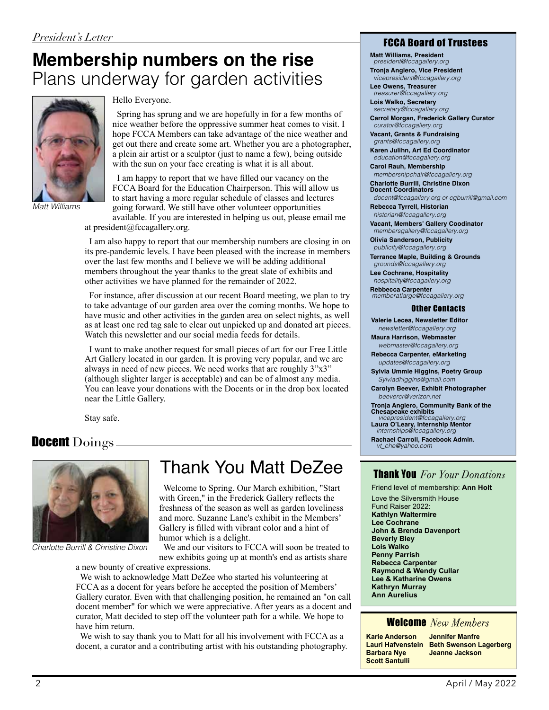## **Membership numbers on the rise** Plans underway for garden activities



*Matt Williams*

#### Hello Everyone.

 Spring has sprung and we are hopefully in for a few months of nice weather before the oppressive summer heat comes to visit. I hope FCCA Members can take advantage of the nice weather and get out there and create some art. Whether you are a photographer, a plein air artist or a sculptor (just to name a few), being outside with the sun on your face creating is what it is all about.

 I am happy to report that we have filled our vacancy on the FCCA Board for the Education Chairperson. This will allow us to start having a more regular schedule of classes and lectures going forward. We still have other volunteer opportunities available. If you are interested in helping us out, please email me

at president@fccagallery.org.

 I am also happy to report that our membership numbers are closing in on its pre-pandemic levels. I have been pleased with the increase in members over the last few months and I believe we will be adding additional members throughout the year thanks to the great slate of exhibits and other activities we have planned for the remainder of 2022.

 For instance, after discussion at our recent Board meeting, we plan to try to take advantage of our garden area over the coming months. We hope to have music and other activities in the garden area on select nights, as well as at least one red tag sale to clear out unpicked up and donated art pieces. Watch this newsletter and our social media feeds for details.

 I want to make another request for small pieces of art for our Free Little Art Gallery located in our garden. It is proving very popular, and we are always in need of new pieces. We need works that are roughly 3"x3" (although slighter larger is acceptable) and can be of almost any media. You can leave your donations with the Docents or in the drop box located near the Little Gallery.

Stay safe.

#### DocentDoings



*Charlotte Burrill & Christine Dixon*

### Thank You Matt DeZee

 Welcome to Spring. Our March exhibition, "Start with Green," in the Frederick Gallery reflects the freshness of the season as well as garden loveliness and more. Suzanne Lane's exhibit in the Members' Gallery is filled with vibrant color and a hint of humor which is a delight.

 We and our visitors to FCCA will soon be treated to new exhibits going up at month's end as artists share a new bounty of creative expressions.

 We wish to acknowledge Matt DeZee who started his volunteering at FCCA as a docent for years before he accepted the position of Members' Gallery curator. Even with that challenging position, he remained an "on call docent member" for which we were appreciative. After years as a docent and curator, Matt decided to step off the volunteer path for a while. We hope to have him return.

 We wish to say thank you to Matt for all his involvement with FCCA as a docent, a curator and a contributing artist with his outstanding photography.

#### FCCA Board of Trustees

**Matt Williams, President**  *president@fccagallery.org*

**Tronja Anglero, Vice President**  *vicepresident@fccagallery.org*

**Lee Owens, Treasurer**  *treasurer@fccagallery.org*

**Lois Walko, Secretary**  *secretary@fccagallery.org*

**Carrol Morgan, Frederick Gallery Curator**  *curator@fccagallery.org*

**Vacant, Grants & Fundraising**  *grants@fccagallery.org* 

**Karen Julihn, Art Ed Coordinator**  *education@fccagallery.org*

**Carol Rauh, Membership**  *membershipchair@fccagallery.org* **Charlotte Burrill, Christine Dixon** 

**Docent Coordinators**  *docent@fccagallery.org or cgburrill@gmail.com*

**Rebecca Tyrrell, Historian**  *historian@fccagallery.org*

**Vacant, Members' Gallery Coodinator**  *membersgallery@fccagallery.org* 

**Olivia Sanderson, Publicity**  *publicity@fccagallery.org*

**Terrance Maple, Building & Grounds**  *grounds@fccagallery.org*

**Lee Cochrane, Hospitality**  *hospitality@fccagallery.org*

**Rebbecca Carpenter**  *memberatlarge@fccagallery.org* 

#### Other Contacts

**Valerie Lecea, Newsletter Editor**

 *newsletter@fccagallery.org* **Maura Harrison, Webmaster**

 *webmaster@fccagallery.org* **Rebecca Carpenter, eMarketing**  *updates@fccagallery.org*

**Sylvia Ummie Higgins, Poetry Group**  *Sylviadhiggins@gmail.com*

**Carolyn Beever, Exhibit Photographer**  *beevercr@verizon.net*

**Tronja Anglero, Community Bank of the Chesapeake exhibits**

 *vicepresident@fccagallery.org* **Laura O'Leary, Internship Mentor**  *internships@fccagallery.org*

**Rachael Carroll, Facebook Admin.**  *vt\_che@yahoo.com* 

#### Thank You *For Your Donations*

Friend level of membership: **Ann Holt**

Love the Silversmith House Fund Raiser 2022: **Kathlyn Waltermire Lee Cochrane John & Brenda Davenport Beverly Bley Lois Walko Penny Parrish Rebecca Carpenter Raymond & Wendy Cullar Lee & Katharine Owens Kathryn Murray Ann Aurelius**

#### Welcome *New Members*

| <b>Karie Anderson</b> | <b>Jennifer</b> |
|-----------------------|-----------------|
| Lauri Hafvenstein     | <b>Beth Sw</b>  |
| <b>Barbara Nye</b>    | Jeanne          |
| <b>Scott Santulli</b> |                 |

**Manfre Renson Lagerberg Jackson**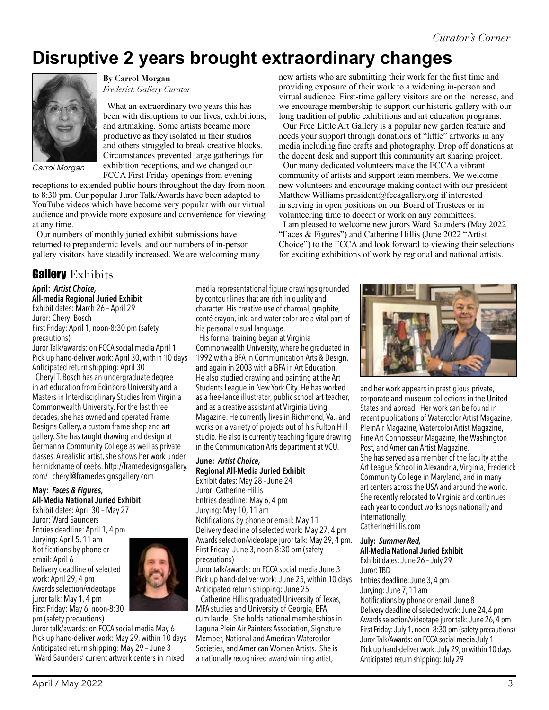new artists who are submitting their work for the first time and providing exposure of their work to a widening in-person and virtual audience. First-time gallery visitors are on the increase, and we encourage membership to support our historic gallery with our long tradition of public exhibitions and art education programs. Our Free Little Art Gallery is a popular new garden feature and needs your support through donations of "little" artworks in any media including fine crafts and photography. Drop off donations at the docent desk and support this community art sharing project. Our many dedicated volunteers make the FCCA a vibrant community of artists and support team members. We welcome new volunteers and encourage making contact with our president Matthew Williams president@fccagallery.org if interested in serving in open positions on our Board of Trustees or in volunteering time to docent or work on any committees.

 I am pleased to welcome new jurors Ward Saunders (May 2022 "Faces & Figures") and Catherine Hillis (June 2022 "Artist Choice") to the FCCA and look forward to viewing their selections for exciting exhibitions of work by regional and national artists.

## **Disruptive 2 years brought extraordinary changes**



*Carrol Morgan*

exhibition receptions, and we changed our FCCA First Friday openings from evening receptions to extended public hours throughout the day from noon to 8:30 pm. Our popular Juror Talk/Awards have been adapted to YouTube videos which have become very popular with our virtual audience and provide more exposure and convenience for viewing

**By Carrol Morgan**  *Frederick Gallery Curator*

 What an extraordinary two years this has been with disruptions to our lives, exhibitions, and artmaking. Some artists became more productive as they isolated in their studios and others struggled to break creative blocks. Circumstances prevented large gatherings for

at any time. Our numbers of monthly juried exhibit submissions have returned to prepandemic levels, and our numbers of in-person gallery visitors have steadily increased. We are welcoming many

#### **Gallery** Exhibits \_

**April:** *Artist Choice,* **All-media Regional Juried Exhibit** Exhibit dates: March 26 – April 29

Juror: Cheryl Bosch First Friday: April 1, noon-8:30 pm (safety precautions)

Juror Talk/awards: on FCCA social media April 1 Pick up hand-deliver work: April 30, within 10 days Anticipated return shipping: April 30

 Cheryl T. Bosch has an undergraduate degree in art education from Edinboro University and a Masters in Interdisciplinary Studies from Virginia Commonwealth University. For the last three decades, she has owned and operated Frame Designs Gallery, a custom frame shop and art gallery. She has taught drawing and design at Germanna Community College as well as private classes. A realistic artist, she shows her work under her nickname of ceebs. http://framedesignsgallery. com/ cheryl@framedesignsgallery.com

#### **May:** *Faces & Figures,* **All-Media National Juried Exhibit**

Exhibit dates: April 30 – May 27 Juror: Ward Saunders Entries deadline: April 1, 4 pm Jurying: April 5, 11 am Notifications by phone or email: April 6 Delivery deadline of selected work: April 29, 4 pm Awards selection/videotape juror talk: May 1, 4 pm First Friday: May 6, noon-8:30 pm (safety precautions)



Juror talk/awards: on FCCA social media May 6 Pick up hand-deliver work: May 29, within 10 days Anticipated return shipping: May 29 – June 3 Ward Saunders' current artwork centers in mixed

media representational figure drawings grounded by contour lines that are rich in quality and character. His creative use of charcoal, graphite, conté crayon, ink, and water color are a vital part of his personal visual language.

 His formal training began at Virginia Commonwealth University, where he graduated in 1992 with a BFA in Communication Arts & Design, and again in 2003 with a BFA in Art Education. He also studied drawing and painting at the Art Students League in New York City. He has worked as a free-lance illustrator, public school art teacher, and as a creative assistant at Virginia Living Magazine. He currently lives in Richmond, Va., and works on a variety of projects out of his Fulton Hill studio. He also is currently teaching figure drawing in the Communication Arts department at VCU.

#### **June:** *Artist Choice,*  **Regional All-Media Juried Exhibit**

Exhibit dates: May 28 - June 24 Juror: Catherine Hillis Entries deadline: May 6, 4 pm Jurying: May 10, 11 am Notifications by phone or email: May 11 Delivery deadline of selected work: May 27, 4 pm Awards selection/videotape juror talk: May 29, 4 pm. First Friday: June 3, noon-8:30 pm (safety precautions)

Juror talk/awards: on FCCA social media June 3 Pick up hand-deliver work: June 25, within 10 days Anticipated return shipping: June 25

 Catherine Hillis graduated University of Texas, MFA studies and University of Georgia, BFA, cum laude. She holds national memberships in Laguna Plein Air Painters Association, Signature Member, National and American Watercolor Societies, and American Women Artists. She is a nationally recognized award winning artist,



and her work appears in prestigious private, corporate and museum collections in the United States and abroad. Her work can be found in recent publications of Watercolor Artist Magazine, PleinAir Magazine, Watercolor Artist Magazine, Fine Art Connoisseur Magazine, the Washington Post, and American Artist Magazine. She has served as a member of the faculty at the Art League School in Alexandria, Virginia; Frederick Community College in Maryland, and in many art centers across the USA and around the world. She recently relocated to Virginia and continues each year to conduct workshops nationally and internationally.

CatherineHillis.com

#### **July:** *Summer Red,*

**All-Media National Juried Exhibit** Exhibit dates: June 26 – July 29 Juror: TBD Entries deadline: June 3, 4 pm Jurying: June 7, 11 am Notifications by phone or email: June 8 Delivery deadline of selected work: June 24, 4 pm Awards selection/videotape juror talk: June 26, 4 pm First Friday: July 1, noon- 8:30 pm (safety precautions) Juror Talk/Awards: on FCCA social media July 1 Pick up hand-deliver work: July 29, or within 10 days Anticipated return shipping: July 29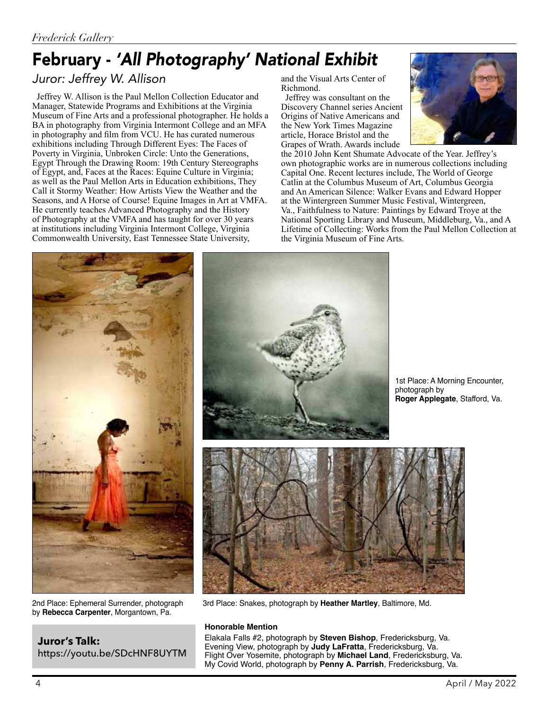## February - *'All Photography' National Exhibit*

#### *Juror: Jeffrey W. Allison*

 Jeffrey W. Allison is the Paul Mellon Collection Educator and Manager, Statewide Programs and Exhibitions at the Virginia Museum of Fine Arts and a professional photographer. He holds a BA in photography from Virginia Intermont College and an MFA in photography and film from VCU. He has curated numerous exhibitions including Through Different Eyes: The Faces of Poverty in Virginia, Unbroken Circle: Unto the Generations, Egypt Through the Drawing Room: 19th Century Stereographs of Egypt, and, Faces at the Races: Equine Culture in Virginia; as well as the Paul Mellon Arts in Education exhibitions, They Call it Stormy Weather: How Artists View the Weather and the Seasons, and A Horse of Course! Equine Images in Art at VMFA. He currently teaches Advanced Photography and the History of Photography at the VMFA and has taught for over 30 years at institutions including Virginia Intermont College, Virginia Commonwealth University, East Tennessee State University,

and the Visual Arts Center of Richmond.

 Jeffrey was consultant on the Discovery Channel series Ancient Origins of Native Americans and the New York Times Magazine article, Horace Bristol and the Grapes of Wrath. Awards include



the 2010 John Kent Shumate Advocate of the Year. Jeffrey's own photographic works are in numerous collections including Capital One. Recent lectures include, The World of George Catlin at the Columbus Museum of Art, Columbus Georgia and An American Silence: Walker Evans and Edward Hopper at the Wintergreen Summer Music Festival, Wintergreen, Va., Faithfulness to Nature: Paintings by Edward Troye at the National Sporting Library and Museum, Middleburg, Va., and A Lifetime of Collecting: Works from the Paul Mellon Collection at the Virginia Museum of Fine Arts.



2nd Place: Ephemeral Surrender, photograph by **Rebecca Carpenter**, Morgantown, Pa.

**Juror's Talk:** https://youtu.be/SDcHNF8UYTM



1st Place: A Morning Encounter, photograph by **Roger Applegate**, Stafford, Va.



3rd Place: Snakes, photograph by **Heather Martley**, Baltimore, Md.

#### **Honorable Mention**

Elakala Falls #2, photograph by **Steven Bishop**, Fredericksburg, Va. Evening View, photograph by **Judy LaFratta**, Fredericksburg, Va. Flight Over Yosemite, photograph by **Michael Land**, Fredericksburg, Va. My Covid World, photograph by **Penny A. Parrish**, Fredericksburg, Va.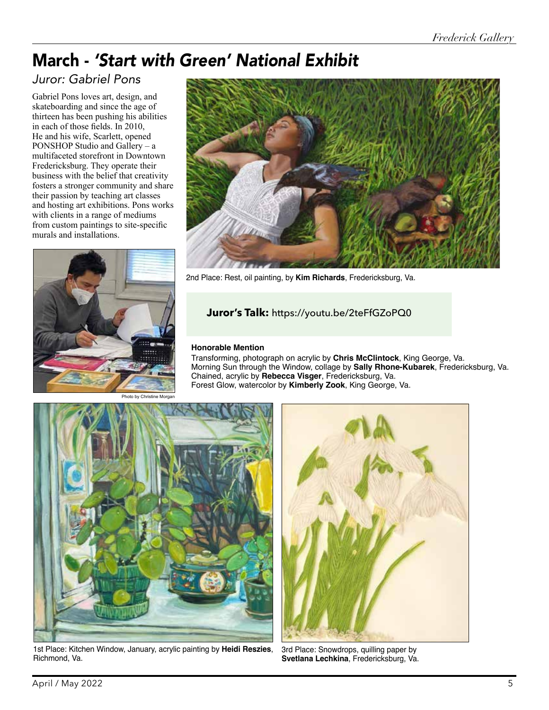## March - *'Start with Green' National Exhibit*

#### *Juror: Gabriel Pons*

Gabriel Pons loves art, design, and skateboarding and since the age of thirteen has been pushing his abilities in each of those fields. In 2010, He and his wife, Scarlett, opened PONSHOP Studio and Gallery – a multifaceted storefront in Downtown Fredericksburg. They operate their business with the belief that creativity fosters a stronger community and share their passion by teaching art classes and hosting art exhibitions. Pons works with clients in a range of mediums from custom paintings to site-specific murals and installations.





2nd Place: Rest, oil painting, by **Kim Richards**, Fredericksburg, Va.

#### **Juror's Talk:** https://youtu.be/2teFfGZoPQ0

#### **Honorable Mention**

Transforming, photograph on acrylic by **Chris McClintock**, King George, Va. Morning Sun through the Window, collage by **Sally Rhone-Kubarek**, Fredericksburg, Va. Chained, acrylic by **Rebecca Visger**, Fredericksburg, Va. Forest Glow, watercolor by **Kimberly Zook**, King George, Va.

Photo by Christine Morgan



1st Place: Kitchen Window, January, acrylic painting by **Heidi Reszies**, Richmond, Va.



3rd Place: Snowdrops, quilling paper by **Svetlana Lechkina**, Fredericksburg, Va.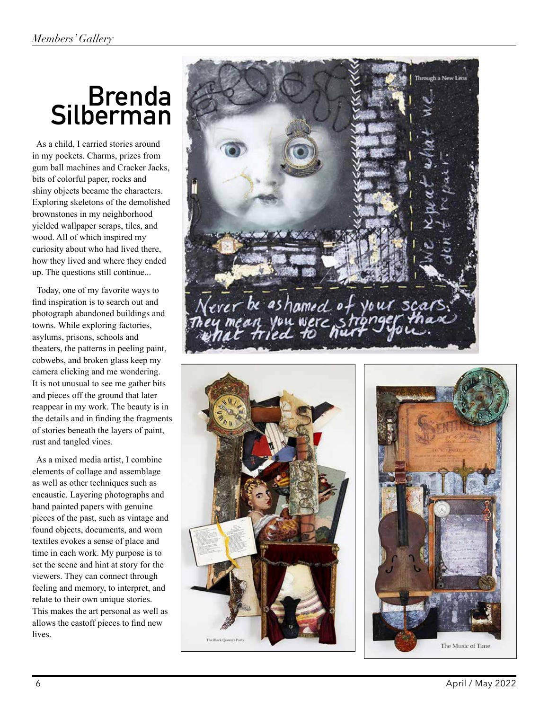# **Brenda Silberman**

 As a child, I carried stories around in my pockets. Charms, prizes from gum ball machines and Cracker Jacks, bits of colorful paper, rocks and shiny objects became the characters. Exploring skeletons of the demolished brownstones in my neighborhood yielded wallpaper scraps, tiles, and wood. All of which inspired my curiosity about who had lived there, how they lived and where they ended up. The questions still continue...

 Today, one of my favorite ways to find inspiration is to search out and photograph abandoned buildings and towns. While exploring factories, asylums, prisons, schools and theaters, the patterns in peeling paint, cobwebs, and broken glass keep my camera clicking and me wondering. It is not unusual to see me gather bits and pieces off the ground that later reappear in my work. The beauty is in the details and in finding the fragments of stories beneath the layers of paint, rust and tangled vines.

 As a mixed media artist, I combine elements of collage and assemblage as well as other techniques such as encaustic. Layering photographs and hand painted papers with genuine pieces of the past, such as vintage and found objects, documents, and worn textiles evokes a sense of place and time in each work. My purpose is to set the scene and hint at story for the viewers. They can connect through feeling and memory, to interpret, and relate to their own unique stories. This makes the art personal as well as allows the castoff pieces to find new lives.





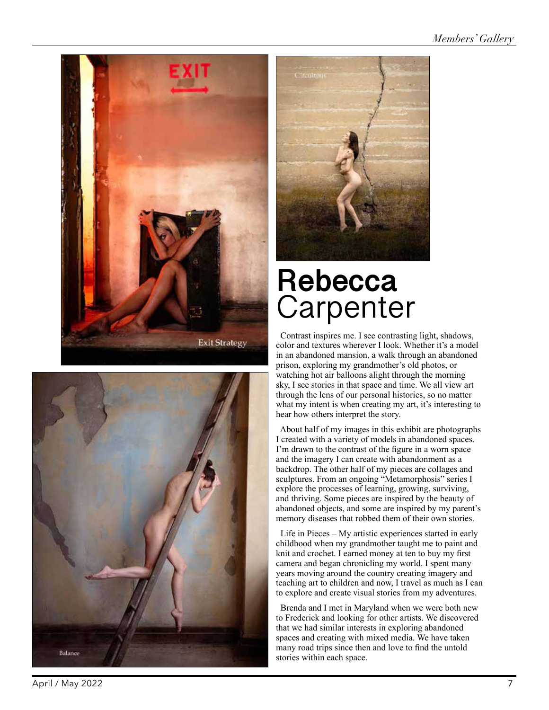





# **Rebecca**  Carpenter

 Contrast inspires me. I see contrasting light, shadows, color and textures wherever I look. Whether it's a model in an abandoned mansion, a walk through an abandoned prison, exploring my grandmother's old photos, or watching hot air balloons alight through the morning sky, I see stories in that space and time. We all view art through the lens of our personal histories, so no matter what my intent is when creating my art, it's interesting to hear how others interpret the story.

 About half of my images in this exhibit are photographs I created with a variety of models in abandoned spaces. I'm drawn to the contrast of the figure in a worn space and the imagery I can create with abandonment as a backdrop. The other half of my pieces are collages and sculptures. From an ongoing "Metamorphosis" series I explore the processes of learning, growing, surviving, and thriving. Some pieces are inspired by the beauty of abandoned objects, and some are inspired by my parent's memory diseases that robbed them of their own stories.

 Life in Pieces – My artistic experiences started in early childhood when my grandmother taught me to paint and knit and crochet. I earned money at ten to buy my first camera and began chronicling my world. I spent many years moving around the country creating imagery and teaching art to children and now, I travel as much as I can to explore and create visual stories from my adventures.

 Brenda and I met in Maryland when we were both new to Frederick and looking for other artists. We discovered that we had similar interests in exploring abandoned spaces and creating with mixed media. We have taken many road trips since then and love to find the untold stories within each space.

April / May 2022 7